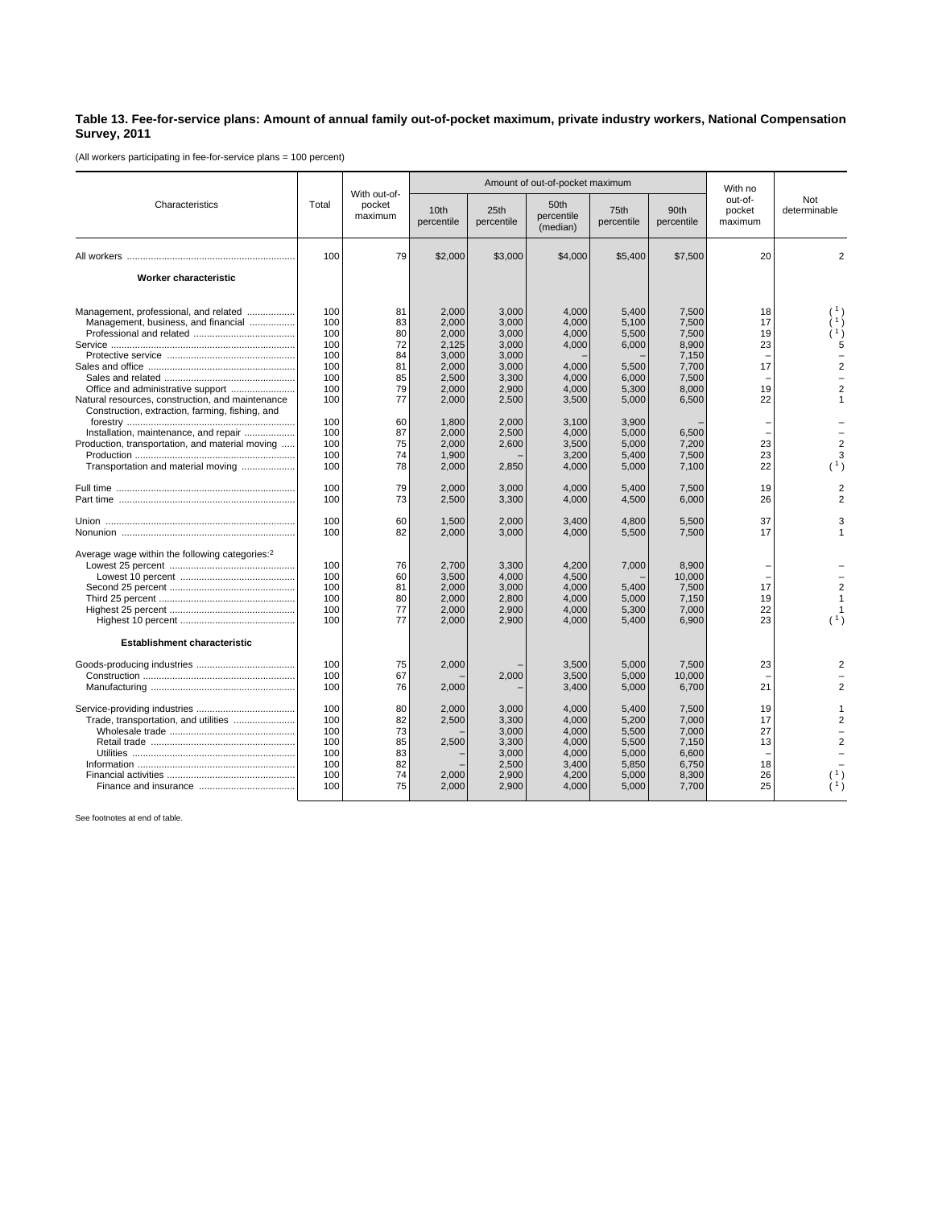## **Table 13. Fee-for-service plans: Amount of annual family out-of-pocket maximum, private industry workers, National Compensation Survey, 2011**

(All workers participating in fee-for-service plans = 100 percent)

|                                                                                                     | Total | With out-of-<br>pocket<br>maximum |                                | Amount of out-of-pocket maximum | With no                        |                    |                    |                              |                     |
|-----------------------------------------------------------------------------------------------------|-------|-----------------------------------|--------------------------------|---------------------------------|--------------------------------|--------------------|--------------------|------------------------------|---------------------|
| Characteristics                                                                                     |       |                                   | 10 <sub>th</sub><br>percentile | 25th<br>percentile              | 50th<br>percentile<br>(median) | 75th<br>percentile | 90th<br>percentile | out-of-<br>pocket<br>maximum | Not<br>determinable |
|                                                                                                     | 100   | 79                                | \$2,000                        | \$3,000                         | \$4,000                        | \$5,400            | \$7,500            | 20                           | $\overline{2}$      |
| Worker characteristic                                                                               |       |                                   |                                |                                 |                                |                    |                    |                              |                     |
| Management, professional, and related                                                               | 100   | 81                                | 2,000                          | 3,000                           | 4,000                          | 5,400              | 7,500              | 18                           |                     |
| Management, business, and financial                                                                 | 100   | 83                                | 2,000                          | 3,000                           | 4,000                          | 5,100              | 7,500              | 17                           |                     |
|                                                                                                     | 100   | 80                                | 2,000                          | 3,000                           | 4,000                          | 5,500              | 7,500              | 19                           |                     |
|                                                                                                     | 100   | 72                                | 2.125                          | 3.000                           | 4.000                          | 6.000              | 8.900              | 23                           | 5                   |
|                                                                                                     | 100   | 84                                | 3,000                          | 3,000                           |                                |                    | 7,150              |                              |                     |
|                                                                                                     | 100   | 81                                | 2,000                          | 3,000                           | 4,000                          | 5,500              | 7,700              | 17                           | $\mathfrak{p}$      |
|                                                                                                     | 100   | 85                                | 2,500                          | 3,300                           | 4,000                          | 6,000              | 7,500              |                              |                     |
| Office and administrative support                                                                   | 100   | 79                                | 2,000                          | 2,900                           | 4,000                          | 5,300              | 8,000              | 19                           | $\overline{2}$      |
| Natural resources, construction, and maintenance<br>Construction, extraction, farming, fishing, and | 100   | 77                                | 2,000                          | 2,500                           | 3,500                          | 5,000              | 6,500              | 22                           |                     |
|                                                                                                     | 100   | 60                                | 1.800                          | 2.000                           | 3.100                          | 3.900              |                    |                              |                     |
| Installation, maintenance, and repair                                                               | 100   | 87                                | 2,000                          | 2,500                           | 4,000                          | 5.000              | 6,500              |                              |                     |
| Production, transportation, and material moving                                                     | 100   | 75                                | 2.000                          | 2,600                           | 3,500                          | 5.000              | 7,200              | 23                           | $\overline{2}$      |
|                                                                                                     | 100   | 74                                | 1,900                          |                                 | 3,200                          | 5.400              | 7,500              | 23                           | 3                   |
| Transportation and material moving                                                                  | 100   | 78                                | 2,000                          | 2,850                           | 4,000                          | 5,000              | 7,100              | 22                           | (1)                 |
|                                                                                                     | 100   | 79                                | 2.000                          | 3,000                           | 4.000                          | 5.400              | 7,500              | 19                           | $\overline{c}$      |
|                                                                                                     | 100   | 73                                | 2,500                          | 3,300                           | 4,000                          | 4,500              | 6,000              | 26                           | 2                   |
|                                                                                                     | 100   | 60                                | 1,500                          | 2,000                           | 3,400                          | 4,800              | 5,500              | 37                           | 3                   |
|                                                                                                     | 100   | 82                                | 2,000                          | 3,000                           | 4,000                          | 5,500              | 7,500              | 17                           | 1                   |
| Average wage within the following categories: <sup>2</sup>                                          |       |                                   |                                |                                 |                                |                    |                    |                              |                     |
|                                                                                                     | 100   | 76                                | 2,700                          | 3,300                           | 4,200                          | 7,000              | 8.900              |                              |                     |
|                                                                                                     | 100   | 60                                | 3,500                          | 4,000                           | 4,500                          |                    | 10.000             |                              |                     |
|                                                                                                     | 100   | 81                                | 2,000                          | 3,000                           | 4,000                          | 5,400              | 7,500              | 17                           | $\overline{2}$      |
|                                                                                                     | 100   | 80                                | 2,000                          | 2,800                           | 4.000                          | 5,000              | 7.150              | 19                           | $\overline{1}$      |
|                                                                                                     | 100   | 77                                | 2,000                          | 2,900                           | 4,000                          | 5,300              | 7,000              | 22                           |                     |
|                                                                                                     | 100   | 77                                | 2,000                          | 2,900                           | 4,000                          | 5,400              | 6,900              | 23                           | (1)                 |
| <b>Establishment characteristic</b>                                                                 |       |                                   |                                |                                 |                                |                    |                    |                              |                     |
|                                                                                                     | 100   | 75                                | 2,000                          |                                 | 3,500                          | 5,000              | 7,500              | 23                           |                     |
|                                                                                                     | 100   | 67                                |                                | 2,000                           | 3,500                          | 5,000              | 10,000             |                              |                     |
|                                                                                                     | 100   | 76                                | 2,000                          |                                 | 3,400                          | 5,000              | 6,700              | 21                           | 2                   |
|                                                                                                     | 100   | 80                                | 2,000                          | 3,000                           | 4,000                          | 5,400              | 7,500              | 19                           |                     |
|                                                                                                     | 100   | 82                                |                                | 3,300                           |                                |                    |                    | 17                           | $\overline{c}$      |
| Trade, transportation, and utilities                                                                | 100   | 73                                | 2,500                          |                                 | 4,000                          | 5,200              | 7,000              | 27                           |                     |
|                                                                                                     |       |                                   |                                | 3,000                           | 4,000                          | 5,500              | 7,000              |                              |                     |
|                                                                                                     | 100   | 85                                | 2,500                          | 3,300                           | 4,000                          | 5,500              | 7,150              | 13                           | $\overline{2}$      |
|                                                                                                     | 100   | 83                                |                                | 3,000                           | 4,000                          | 5,000              | 6,600              |                              |                     |
|                                                                                                     | 100   | 82                                |                                | 2,500                           | 3,400                          | 5,850              | 6,750              | 18                           |                     |
|                                                                                                     | 100   | 74                                | 2,000                          | 2,900                           | 4,200                          | 5,000              | 8,300              | 26                           |                     |
|                                                                                                     | 100   | 75                                | 2,000                          | 2,900                           | 4,000                          | 5,000              | 7,700              | 25                           |                     |

See footnotes at end of table.